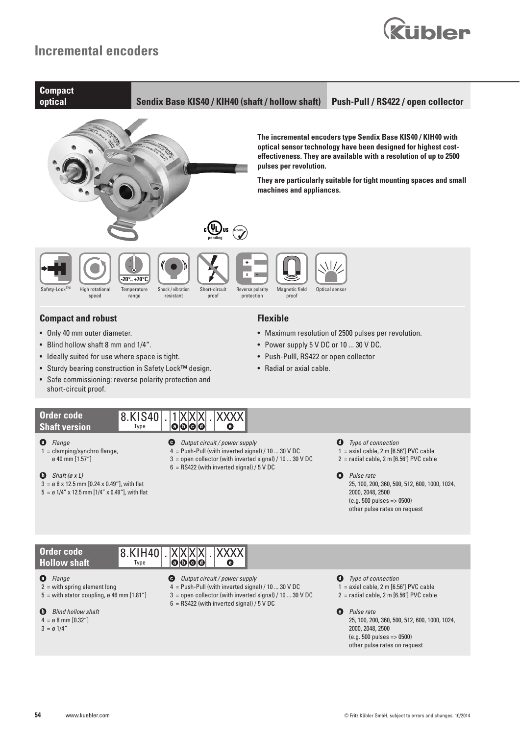### **Incremental encoders**



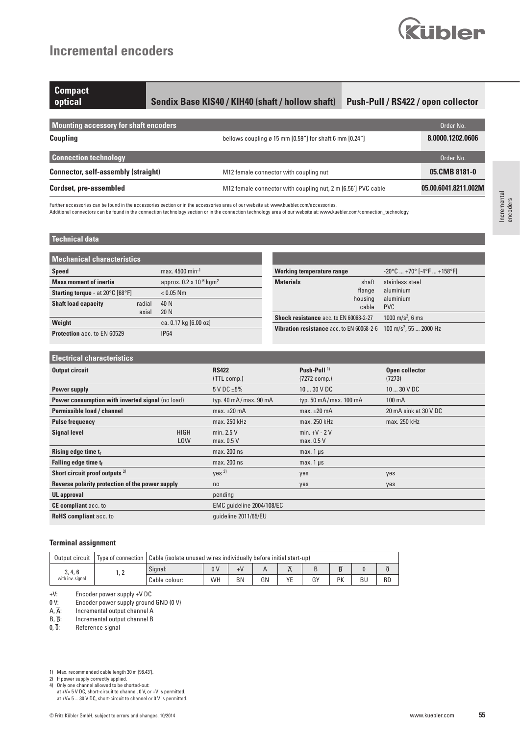# **Incremental encoders**



| <b>Compact</b><br>optical                  | Sendix Base KIS40 / KIH40 (shaft / hollow shaft)                    | Push-Pull / RS422 / open collector |
|--------------------------------------------|---------------------------------------------------------------------|------------------------------------|
| Mounting accessory for shaft encoders      |                                                                     | Order No.                          |
| Coupling                                   | bellows coupling $\varnothing$ 15 mm [0.59"] for shaft 6 mm [0.24"] | 8.0000.1202.0606                   |
| <b>Connection technology</b>               |                                                                     | Order No.                          |
| <b>Connector, self-assembly (straight)</b> | M12 female connector with coupling nut                              | 05.CMB 8181-0                      |
| <b>Cordset, pre-assembled</b>              | M12 female connector with coupling nut, 2 m [6.56'] PVC cable       | 05.00.6041.8211.002M               |

Further accessories can be found in the accessories section or in the accessories area of our website at: www.kuebler.com/accessories.

Additional connectors can be found in the connection technology section or in the connection technology area of our website at: www.kuebler.com/connection\_technology.

### **Technical data**

| <b>Mechanical characteristics</b>       |                 |                                               |  |                                               |                  |                                                                      |  |
|-----------------------------------------|-----------------|-----------------------------------------------|--|-----------------------------------------------|------------------|----------------------------------------------------------------------|--|
| <b>Speed</b>                            |                 | max. 4500 min <sup>-1</sup>                   |  | <b>Working temperature range</b>              |                  | $-20^{\circ}$ C  +70 $^{\circ}$ [-4 $^{\circ}$ F  +158 $^{\circ}$ F] |  |
| <b>Mass moment of inertia</b>           |                 | approx. $0.2 \times 10^{-6}$ kgm <sup>2</sup> |  | <b>Materials</b><br>shaft                     |                  | stainless steel<br>aluminium                                         |  |
| <b>Starting torque</b> - at 20°C [68°F] |                 | $< 0.05$ Nm                                   |  |                                               | flange           |                                                                      |  |
| <b>Shaft load capacity</b>              | radial<br>axial | 40 N<br>20 N                                  |  |                                               | housing<br>cable | aluminium<br><b>PVC</b>                                              |  |
| Weight                                  |                 | ca. 0.17 kg [6.00 oz]                         |  | <b>Shock resistance acc. to EN 60068-2-27</b> |                  | 1000 m/s <sup>2</sup> , 6 ms                                         |  |
| <b>Protection acc. to EN 60529</b>      |                 | <b>IP64</b>                                   |  | Vibration resistance acc. to EN 60068-2-6     |                  | 100 m/s <sup>2</sup> , 55  2000 Hz                                   |  |

### **Electrical characteristics**

| Livotriour onuruotoriou o                        |                           |                                           |                                            |                          |  |  |  |
|--------------------------------------------------|---------------------------|-------------------------------------------|--------------------------------------------|--------------------------|--|--|--|
| <b>Output circuit</b>                            |                           | <b>RS422</b><br>(TTL comp.)               | Push-Pull $^{1}$<br>$(7272 \text{ comp.})$ | Open collector<br>(7273) |  |  |  |
| <b>Power supply</b>                              |                           | $5$ V DC $\pm$ 5%                         | 10  30 V DC                                | $1030$ V DC              |  |  |  |
| Power consumption with inverted signal (no load) |                           | typ. $40 \text{ mA}$ max. $90 \text{ mA}$ | typ. 50 mA/max. 100 mA                     | 100 mA                   |  |  |  |
| Permissible load / channel                       |                           | $max. \pm 20$ mA                          | $max. \pm 20$ mA                           | 20 mA sink at 30 V DC    |  |  |  |
| <b>Pulse frequency</b>                           |                           | max. 250 kHz                              | max. 250 kHz                               | max. 250 kHz             |  |  |  |
| <b>Signal level</b>                              | <b>HIGH</b><br><b>LOW</b> | min. $2.5V$<br>max. 0.5 V                 | $min. +V - 2V$<br>max. 0.5 V               |                          |  |  |  |
| Rising edge time tr                              |                           | max. 200 ns                               | max. $1 \mu s$                             |                          |  |  |  |
| Falling edge time $t_f$                          |                           | max. 200 ns                               | $max. 1 \mu s$                             |                          |  |  |  |
| Short circuit proof outputs $2)$                 |                           | yes <sup>3</sup>                          | yes                                        | yes                      |  |  |  |
| Reverse polarity protection of the power supply  |                           | n <sub>0</sub>                            | yes                                        | yes                      |  |  |  |
| <b>UL</b> approval                               |                           | pending                                   |                                            |                          |  |  |  |
| <b>CE compliant</b> acc. to                      |                           | EMC quideline 2004/108/EC                 |                                            |                          |  |  |  |
| <b>RoHS</b> compliant acc. to                    |                           | quideline 2011/65/EU                      |                                            |                          |  |  |  |

#### **Terminal assignment**

| Output circuit              | Type of connection | Cable (isolate unused wires individually before initial start-up) |           |           |    |    |    |    |           |           |
|-----------------------------|--------------------|-------------------------------------------------------------------|-----------|-----------|----|----|----|----|-----------|-----------|
| 3, 4, 6<br>with inv. signal |                    | Signal:                                                           |           |           |    |    |    |    |           |           |
|                             |                    | Cable colour:                                                     | <b>WH</b> | <b>BN</b> | GN | YE | G١ | PK | <b>BU</b> | <b>RD</b> |

+V: Encoder power supply +V DC<br>0 V: Encoder power supply ground<br>A, Ā: Incremental output channel A<br>B, Ē: Incremental output channel B

Encoder power supply ground GND (0 V)

Incremental output channel A

 $B, \overline{B}$ : Incremental output channel B<br>0.  $\overline{0}$ : Reference signal

Reference signal

1) Max. recommended cable length 30 m [98.43'].<br>
2) If power supply correctly applied.<br>
4) Only one channel allowed to be shorted-out:<br>
at +V= 5 V DC, short-circuit to channel, 0 V, or +V is permitted.<br>
at +V= 5 ... 30 V

Incremental encoders

Incremental<br>encoders